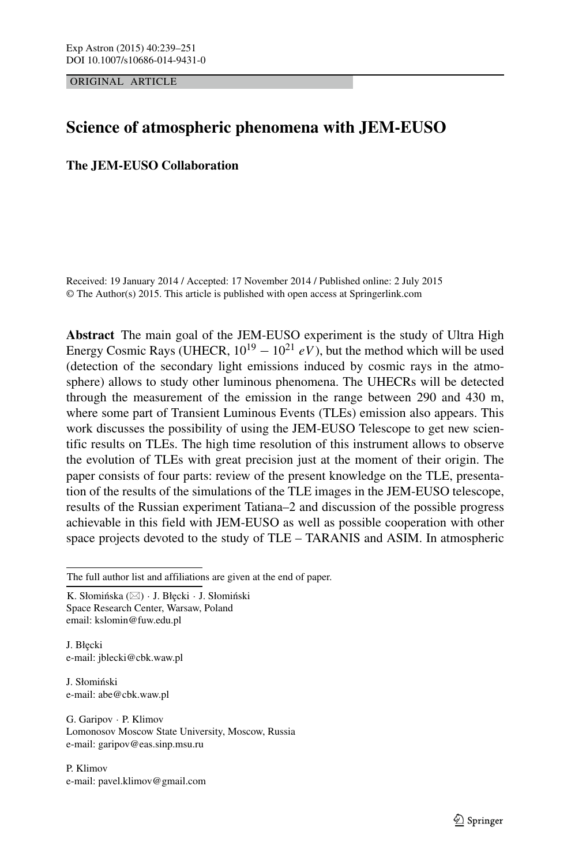ORIGINAL ARTICLE

# **Science of atmospheric phenomena with JEM-EUSO**

**The JEM-EUSO Collaboration**

Received: 19 January 2014 / Accepted: 17 November 2014 / Published online: 2 July 2015 © The Author(s) 2015. This article is published with open access at Springerlink.com

**Abstract** The main goal of the JEM-EUSO experiment is the study of Ultra High Energy Cosmic Rays (UHECR,  $10^{19} - 10^{21} eV$ ), but the method which will be used (detection of the secondary light emissions induced by cosmic rays in the atmosphere) allows to study other luminous phenomena. The UHECRs will be detected through the measurement of the emission in the range between 290 and 430 m, where some part of Transient Luminous Events (TLEs) emission also appears. This work discusses the possibility of using the JEM-EUSO Telescope to get new scientific results on TLEs. The high time resolution of this instrument allows to observe the evolution of TLEs with great precision just at the moment of their origin. The paper consists of four parts: review of the present knowledge on the TLE, presentation of the results of the simulations of the TLE images in the JEM-EUSO telescope, results of the Russian experiment Tatiana–2 and discussion of the possible progress achievable in this field with JEM-EUSO as well as possible cooperation with other space projects devoted to the study of TLE – TARANIS and ASIM. In atmospheric

K. Słomińska (⊠) · J. Błęcki · J. Słomiński Space Research Center, Warsaw, Poland email: kslomin@fuw.edu.pl

J. Błęcki e-mail: jblecki@cbk.waw.pl

J. Słomiński e-mail: abe@cbk.waw.pl

G. Garipov · P. Klimov Lomonosov Moscow State University, Moscow, Russia e-mail: garipov@eas.sinp.msu.ru

P. Klimov e-mail: pavel.klimov@gmail.com

The full author list and affiliations are given at the end of paper.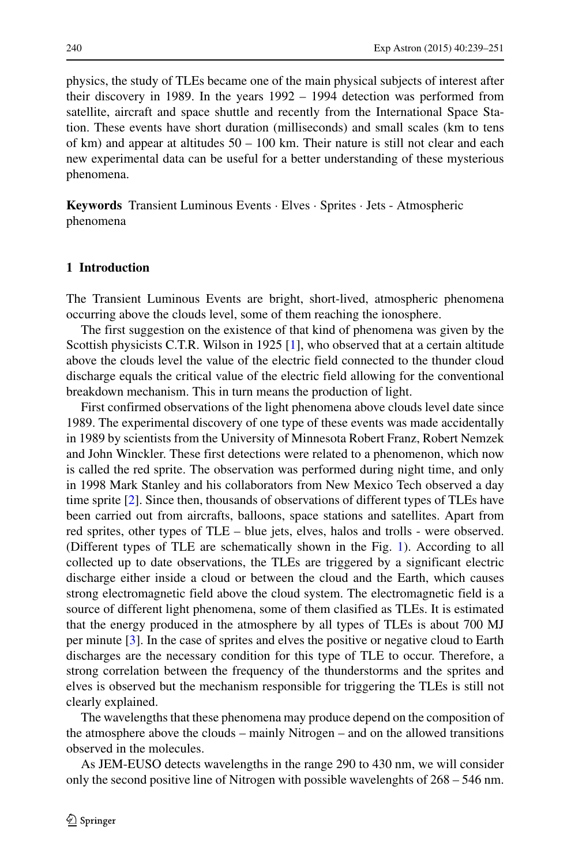physics, the study of TLEs became one of the main physical subjects of interest after their discovery in 1989. In the years 1992 – 1994 detection was performed from satellite, aircraft and space shuttle and recently from the International Space Station. These events have short duration (milliseconds) and small scales (km to tens of km) and appear at altitudes 50 – 100 km. Their nature is still not clear and each new experimental data can be useful for a better understanding of these mysterious phenomena.

**Keywords** Transient Luminous Events · Elves · Sprites · Jets - Atmospheric phenomena

#### **1 Introduction**

The Transient Luminous Events are bright, short-lived, atmospheric phenomena occurring above the clouds level, some of them reaching the ionosphere.

The first suggestion on the existence of that kind of phenomena was given by the Scottish physicists C.T.R. Wilson in 1925 [\[1\]](#page-9-0), who observed that at a certain altitude above the clouds level the value of the electric field connected to the thunder cloud discharge equals the critical value of the electric field allowing for the conventional breakdown mechanism. This in turn means the production of light.

First confirmed observations of the light phenomena above clouds level date since 1989. The experimental discovery of one type of these events was made accidentally in 1989 by scientists from the University of Minnesota Robert Franz, Robert Nemzek and John Winckler. These first detections were related to a phenomenon, which now is called the red sprite. The observation was performed during night time, and only in 1998 Mark Stanley and his collaborators from New Mexico Tech observed a day time sprite [\[2\]](#page-9-1). Since then, thousands of observations of different types of TLEs have been carried out from aircrafts, balloons, space stations and satellites. Apart from red sprites, other types of TLE – blue jets, elves, halos and trolls - were observed. (Different types of TLE are schematically shown in the Fig. [1\)](#page-2-0). According to all collected up to date observations, the TLEs are triggered by a significant electric discharge either inside a cloud or between the cloud and the Earth, which causes strong electromagnetic field above the cloud system. The electromagnetic field is a source of different light phenomena, some of them clasified as TLEs. It is estimated that the energy produced in the atmosphere by all types of TLEs is about 700 MJ per minute [\[3\]](#page-9-2). In the case of sprites and elves the positive or negative cloud to Earth discharges are the necessary condition for this type of TLE to occur. Therefore, a strong correlation between the frequency of the thunderstorms and the sprites and elves is observed but the mechanism responsible for triggering the TLEs is still not clearly explained.

The wavelengths that these phenomena may produce depend on the composition of the atmosphere above the clouds – mainly Nitrogen – and on the allowed transitions observed in the molecules.

As JEM-EUSO detects wavelengths in the range 290 to 430 nm, we will consider only the second positive line of Nitrogen with possible wavelenghts of 268 – 546 nm.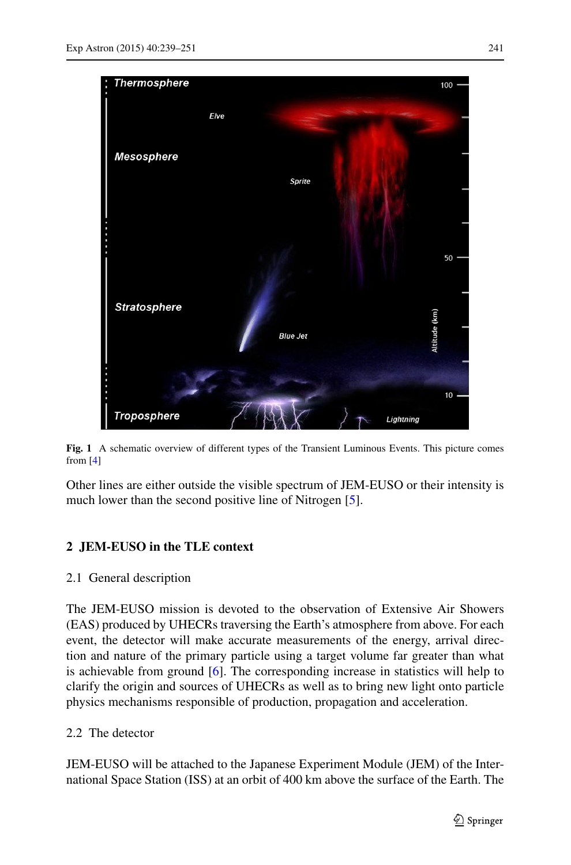<span id="page-2-0"></span>

**Fig. 1** A schematic overview of different types of the Transient Luminous Events. This picture comes from [\[4\]](#page-9-3)

Other lines are either outside the visible spectrum of JEM-EUSO or their intensity is much lower than the second positive line of Nitrogen [\[5\]](#page-9-4).

# **2 JEM-EUSO in the TLE context**

# 2.1 General description

The JEM-EUSO mission is devoted to the observation of Extensive Air Showers (EAS) produced by UHECRs traversing the Earth's atmosphere from above. For each event, the detector will make accurate measurements of the energy, arrival direction and nature of the primary particle using a target volume far greater than what is achievable from ground [\[6\]](#page-9-5). The corresponding increase in statistics will help to clarify the origin and sources of UHECRs as well as to bring new light onto particle physics mechanisms responsible of production, propagation and acceleration.

# 2.2 The detector

JEM-EUSO will be attached to the Japanese Experiment Module (JEM) of the International Space Station (ISS) at an orbit of 400 km above the surface of the Earth. The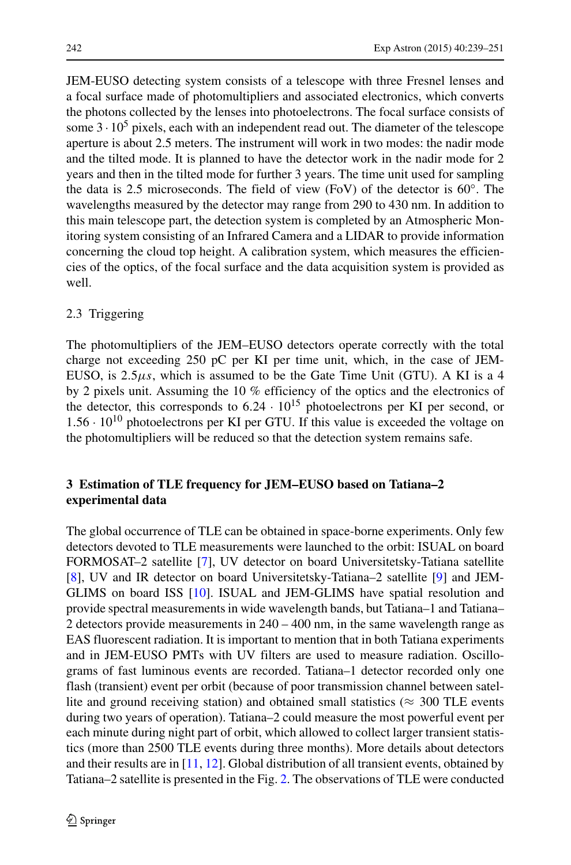JEM-EUSO detecting system consists of a telescope with three Fresnel lenses and a focal surface made of photomultipliers and associated electronics, which converts the photons collected by the lenses into photoelectrons. The focal surface consists of some  $3 \cdot 10^5$  pixels, each with an independent read out. The diameter of the telescope aperture is about 2.5 meters. The instrument will work in two modes: the nadir mode and the tilted mode. It is planned to have the detector work in the nadir mode for 2 years and then in the tilted mode for further 3 years. The time unit used for sampling the data is 2.5 microseconds. The field of view (FoV) of the detector is 60◦. The wavelengths measured by the detector may range from 290 to 430 nm. In addition to this main telescope part, the detection system is completed by an Atmospheric Monitoring system consisting of an Infrared Camera and a LIDAR to provide information concerning the cloud top height. A calibration system, which measures the efficiencies of the optics, of the focal surface and the data acquisition system is provided as well.

#### 2.3 Triggering

The photomultipliers of the JEM–EUSO detectors operate correctly with the total charge not exceeding 250 pC per KI per time unit, which, in the case of JEM-EUSO, is  $2.5\mu s$ , which is assumed to be the Gate Time Unit (GTU). A KI is a 4 by 2 pixels unit. Assuming the 10 % efficiency of the optics and the electronics of the detector, this corresponds to  $6.24 \cdot 10^{15}$  photoelectrons per KI per second, or  $1.56 \cdot 10^{10}$  photoelectrons per KI per GTU. If this value is exceeded the voltage on the photomultipliers will be reduced so that the detection system remains safe.

# **3 Estimation of TLE frequency for JEM–EUSO based on Tatiana–2 experimental data**

The global occurrence of TLE can be obtained in space-borne experiments. Only few detectors devoted to TLE measurements were launched to the orbit: ISUAL on board FORMOSAT–2 satellite [\[7\]](#page-9-6), UV detector on board Universitetsky-Tatiana satellite [\[8\]](#page-9-7), UV and IR detector on board Universitetsky-Tatiana–2 satellite [\[9\]](#page-9-8) and JEM-GLIMS on board ISS [\[10\]](#page-9-9). ISUAL and JEM-GLIMS have spatial resolution and provide spectral measurements in wide wavelength bands, but Tatiana–1 and Tatiana– 2 detectors provide measurements in  $240 - 400$  nm, in the same wavelength range as EAS fluorescent radiation. It is important to mention that in both Tatiana experiments and in JEM-EUSO PMTs with UV filters are used to measure radiation. Oscillograms of fast luminous events are recorded. Tatiana–1 detector recorded only one flash (transient) event per orbit (because of poor transmission channel between satellite and ground receiving station) and obtained small statistics ( $\approx$  300 TLE events during two years of operation). Tatiana–2 could measure the most powerful event per each minute during night part of orbit, which allowed to collect larger transient statistics (more than 2500 TLE events during three months). More details about detectors and their results are in [\[11,](#page-9-10) [12\]](#page-9-11). Global distribution of all transient events, obtained by Tatiana–2 satellite is presented in the Fig. [2.](#page-4-0) The observations of TLE were conducted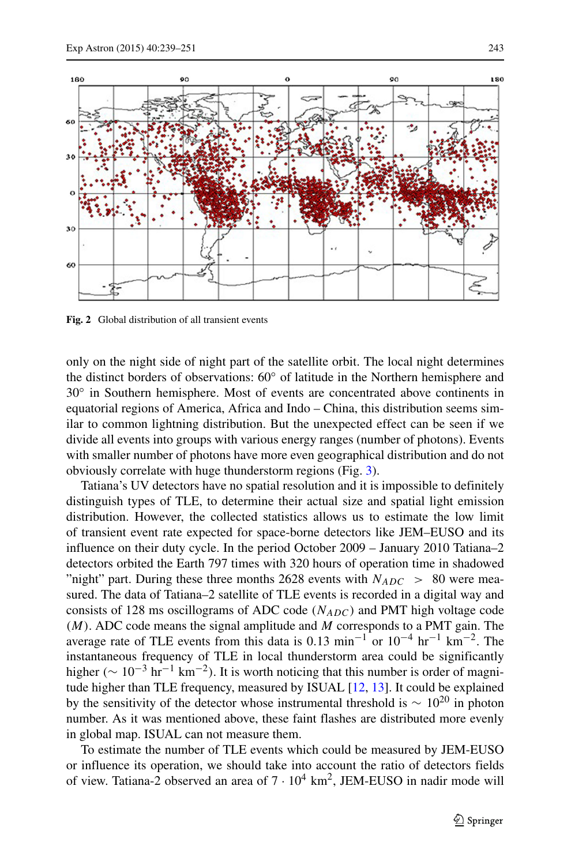<span id="page-4-0"></span>

**Fig. 2** Global distribution of all transient events

only on the night side of night part of the satellite orbit. The local night determines the distinct borders of observations: 60◦ of latitude in the Northern hemisphere and 30◦ in Southern hemisphere. Most of events are concentrated above continents in equatorial regions of America, Africa and Indo – China, this distribution seems similar to common lightning distribution. But the unexpected effect can be seen if we divide all events into groups with various energy ranges (number of photons). Events with smaller number of photons have more even geographical distribution and do not obviously correlate with huge thunderstorm regions (Fig. [3\)](#page-5-0).

Tatiana's UV detectors have no spatial resolution and it is impossible to definitely distinguish types of TLE, to determine their actual size and spatial light emission distribution. However, the collected statistics allows us to estimate the low limit of transient event rate expected for space-borne detectors like JEM–EUSO and its influence on their duty cycle. In the period October 2009 – January 2010 Tatiana–2 detectors orbited the Earth 797 times with 320 hours of operation time in shadowed "night" part. During these three months 2628 events with  $N_{ADC} > 80$  were measured. The data of Tatiana–2 satellite of TLE events is recorded in a digital way and consists of 128 ms oscillograms of ADC code *(NADC)* and PMT high voltage code *(M)*. ADC code means the signal amplitude and *M* corresponds to a PMT gain. The average rate of TLE events from this data is  $0.13 \text{ min}^{-1} \text{ or } 10^{-4} \text{ hr}^{-1} \text{ km}^{-2}$ . The instantaneous frequency of TLE in local thunderstorm area could be significantly higher  $($   $\sim 10^{-3}$  hr<sup>-1</sup> km<sup>-2</sup>). It is worth noticing that this number is order of magnitude higher than TLE frequency, measured by ISUAL [\[12,](#page-9-11) [13\]](#page-9-12). It could be explained by the sensitivity of the detector whose instrumental threshold is  $\sim 10^{20}$  in photon number. As it was mentioned above, these faint flashes are distributed more evenly in global map. ISUAL can not measure them.

To estimate the number of TLE events which could be measured by JEM-EUSO or influence its operation, we should take into account the ratio of detectors fields of view. Tatiana-2 observed an area of  $7 \cdot 10^4$  km<sup>2</sup>, JEM-EUSO in nadir mode will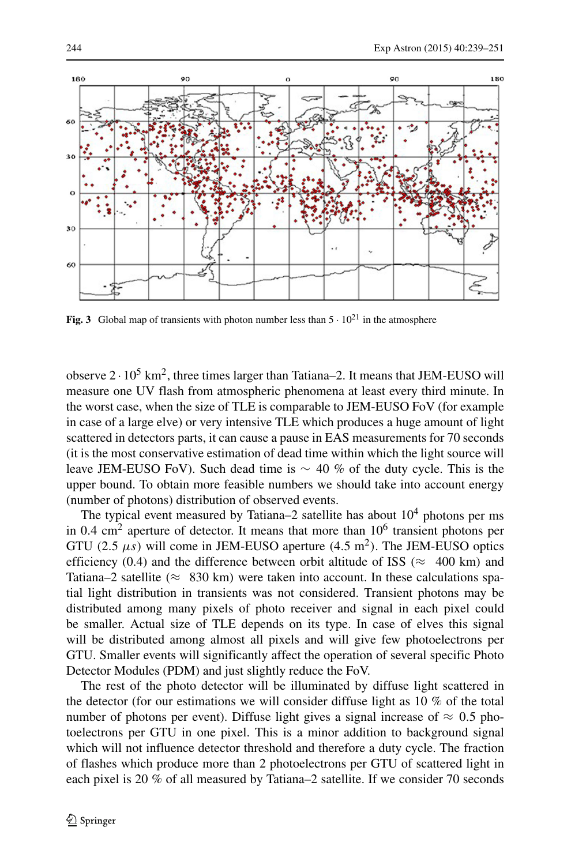<span id="page-5-0"></span>

**Fig. 3** Global map of transients with photon number less than  $5 \cdot 10^{21}$  in the atmosphere

observe  $2 \cdot 10^5$  km<sup>2</sup>, three times larger than Tatiana–2. It means that JEM-EUSO will measure one UV flash from atmospheric phenomena at least every third minute. In the worst case, when the size of TLE is comparable to JEM-EUSO FoV (for example in case of a large elve) or very intensive TLE which produces a huge amount of light scattered in detectors parts, it can cause a pause in EAS measurements for 70 seconds (it is the most conservative estimation of dead time within which the light source will leave JEM-EUSO FoV). Such dead time is  $\sim$  40 % of the duty cycle. This is the upper bound. To obtain more feasible numbers we should take into account energy (number of photons) distribution of observed events.

The typical event measured by Tatiana–2 satellite has about  $10^4$  photons per ms in  $0.4 \text{ cm}^2$  aperture of detector. It means that more than  $10^6$  transient photons per GTU  $(2.5 \mu s)$  will come in JEM-EUSO aperture  $(4.5 \text{ m}^2)$ . The JEM-EUSO optics efficiency (0.4) and the difference between orbit altitude of ISS  $(\approx 400 \text{ km})$  and Tatiana–2 satellite  $(\approx 830 \text{ km})$  were taken into account. In these calculations spatial light distribution in transients was not considered. Transient photons may be distributed among many pixels of photo receiver and signal in each pixel could be smaller. Actual size of TLE depends on its type. In case of elves this signal will be distributed among almost all pixels and will give few photoelectrons per GTU. Smaller events will significantly affect the operation of several specific Photo Detector Modules (PDM) and just slightly reduce the FoV.

The rest of the photo detector will be illuminated by diffuse light scattered in the detector (for our estimations we will consider diffuse light as 10 % of the total number of photons per event). Diffuse light gives a signal increase of  $\approx 0.5$  photoelectrons per GTU in one pixel. This is a minor addition to background signal which will not influence detector threshold and therefore a duty cycle. The fraction of flashes which produce more than 2 photoelectrons per GTU of scattered light in each pixel is 20 % of all measured by Tatiana–2 satellite. If we consider 70 seconds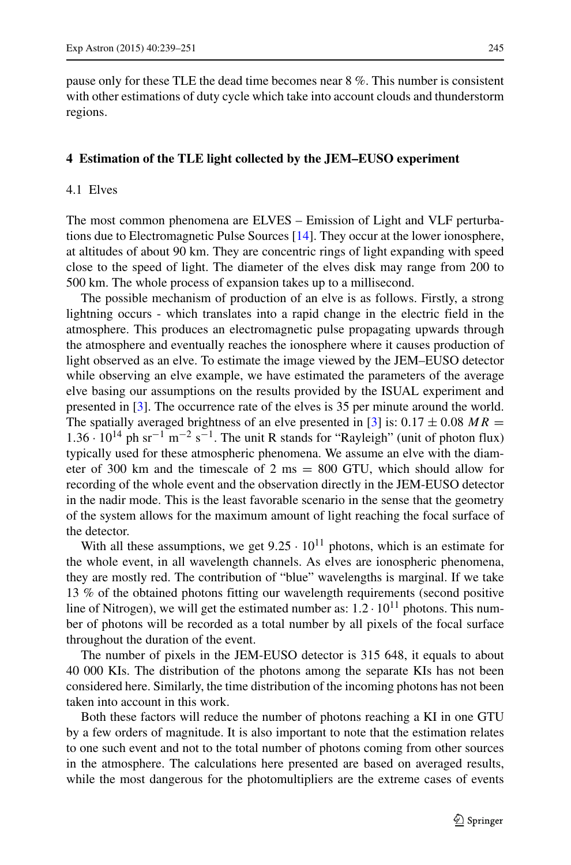pause only for these TLE the dead time becomes near 8 %. This number is consistent with other estimations of duty cycle which take into account clouds and thunderstorm regions.

#### **4 Estimation of the TLE light collected by the JEM–EUSO experiment**

#### 4.1 Elves

The most common phenomena are ELVES – Emission of Light and VLF perturbations due to Electromagnetic Pulse Sources [\[14\]](#page-9-13). They occur at the lower ionosphere, at altitudes of about 90 km. They are concentric rings of light expanding with speed close to the speed of light. The diameter of the elves disk may range from 200 to 500 km. The whole process of expansion takes up to a millisecond.

The possible mechanism of production of an elve is as follows. Firstly, a strong lightning occurs - which translates into a rapid change in the electric field in the atmosphere. This produces an electromagnetic pulse propagating upwards through the atmosphere and eventually reaches the ionosphere where it causes production of light observed as an elve. To estimate the image viewed by the JEM–EUSO detector while observing an elve example, we have estimated the parameters of the average elve basing our assumptions on the results provided by the ISUAL experiment and presented in [\[3\]](#page-9-2). The occurrence rate of the elves is 35 per minute around the world. The spatially averaged brightness of an elve presented in [\[3\]](#page-9-2) is:  $0.17 \pm 0.08$  MR =  $1.36 \cdot 10^{14}$  ph sr<sup>-1</sup> m<sup>-2</sup> s<sup>-1</sup>. The unit R stands for "Rayleigh" (unit of photon flux) typically used for these atmospheric phenomena. We assume an elve with the diameter of 300 km and the timescale of 2 ms  $= 800$  GTU, which should allow for recording of the whole event and the observation directly in the JEM-EUSO detector in the nadir mode. This is the least favorable scenario in the sense that the geometry of the system allows for the maximum amount of light reaching the focal surface of the detector.

With all these assumptions, we get  $9.25 \cdot 10^{11}$  photons, which is an estimate for the whole event, in all wavelength channels. As elves are ionospheric phenomena, they are mostly red. The contribution of "blue" wavelengths is marginal. If we take 13 % of the obtained photons fitting our wavelength requirements (second positive line of Nitrogen), we will get the estimated number as:  $1.2 \cdot 10^{11}$  photons. This number of photons will be recorded as a total number by all pixels of the focal surface throughout the duration of the event.

The number of pixels in the JEM-EUSO detector is 315 648, it equals to about 40 000 KIs. The distribution of the photons among the separate KIs has not been considered here. Similarly, the time distribution of the incoming photons has not been taken into account in this work.

Both these factors will reduce the number of photons reaching a KI in one GTU by a few orders of magnitude. It is also important to note that the estimation relates to one such event and not to the total number of photons coming from other sources in the atmosphere. The calculations here presented are based on averaged results, while the most dangerous for the photomultipliers are the extreme cases of events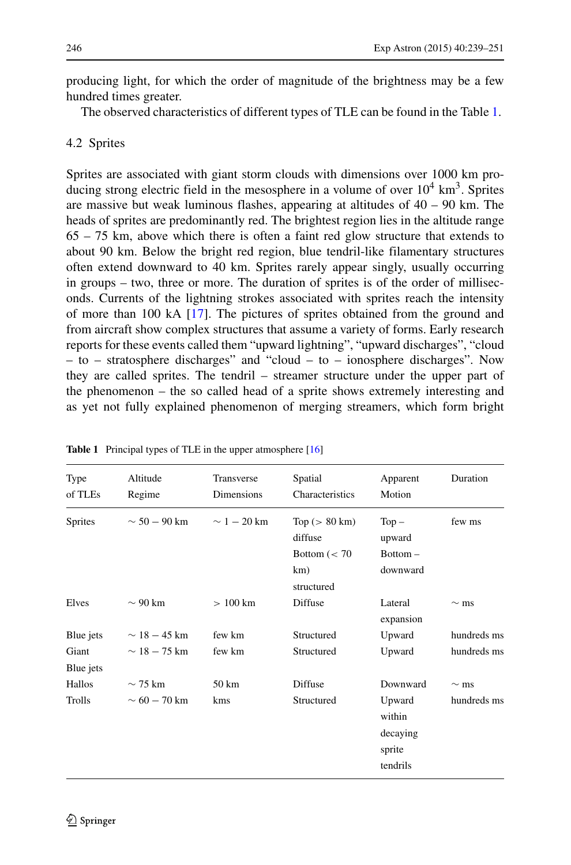producing light, for which the order of magnitude of the brightness may be a few hundred times greater.

The observed characteristics of different types of TLE can be found in the Table [1.](#page-7-0)

### 4.2 Sprites

Sprites are associated with giant storm clouds with dimensions over 1000 km producing strong electric field in the mesosphere in a volume of over  $10^4$  km<sup>3</sup>. Sprites are massive but weak luminous flashes, appearing at altitudes of  $40 - 90$  km. The heads of sprites are predominantly red. The brightest region lies in the altitude range 65 – 75 km, above which there is often a faint red glow structure that extends to about 90 km. Below the bright red region, blue tendril-like filamentary structures often extend downward to 40 km. Sprites rarely appear singly, usually occurring in groups – two, three or more. The duration of sprites is of the order of milliseconds. Currents of the lightning strokes associated with sprites reach the intensity of more than 100 kA [\[17\]](#page-9-14). The pictures of sprites obtained from the ground and from aircraft show complex structures that assume a variety of forms. Early research reports for these events called them "upward lightning", "upward discharges", "cloud – to – stratosphere discharges" and "cloud – to – ionosphere discharges". Now they are called sprites. The tendril – streamer structure under the upper part of the phenomenon – the so called head of a sprite shows extremely interesting and as yet not fully explained phenomenon of merging streamers, which form bright

| Type<br>of TLEs    | Altitude<br>Regime | Transverse<br>Dimensions | Spatial<br>Characteristics                                      | Apparent<br>Motion                                 | Duration    |
|--------------------|--------------------|--------------------------|-----------------------------------------------------------------|----------------------------------------------------|-------------|
| <b>Sprites</b>     | $\sim$ 50 – 90 km  | $\sim 1-20$ km           | Top (> 80 km)<br>diffuse<br>Bottom $(< 70$<br>km)<br>structured | $Top-$<br>upward<br>Bottom-<br>downward            | few ms      |
| Elves              | $\sim$ 90 km       | $>100$ km                | Diffuse                                                         | Lateral<br>expansion                               | $\sim$ ms   |
| Blue jets          | $\sim$ 18 – 45 km  | few km                   | Structured                                                      | Upward                                             | hundreds ms |
| Giant<br>Blue jets | $\sim$ 18 - 75 km  | few km                   | Structured                                                      | Upward                                             | hundreds ms |
| Hallos             | $\sim$ 75 km       | 50 km                    | <b>Diffuse</b>                                                  | Downward                                           | $\sim$ ms   |
| Trolls             | $\sim 60 - 70$ km  | kms                      | Structured                                                      | Upward<br>within<br>decaying<br>sprite<br>tendrils | hundreds ms |

<span id="page-7-0"></span>**Table 1** Principal types of TLE in the upper atmosphere [\[16\]](#page-9-15)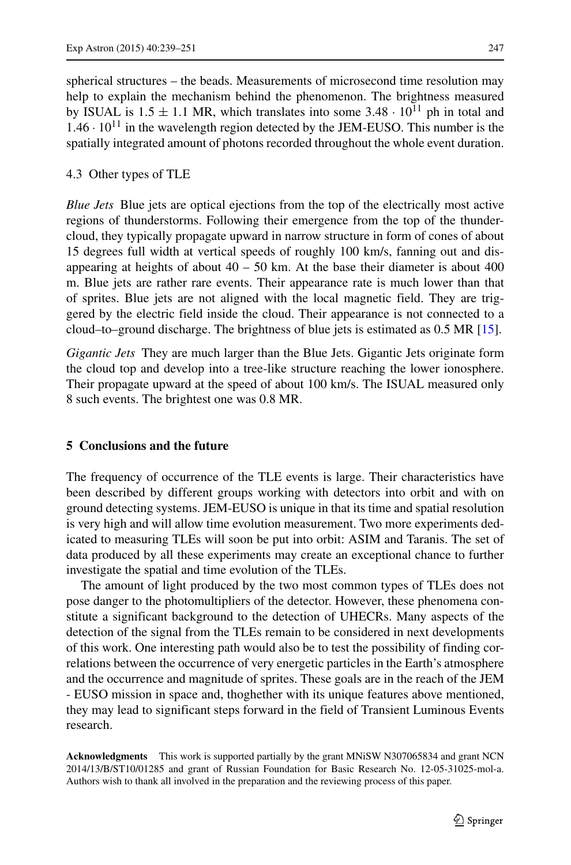spherical structures – the beads. Measurements of microsecond time resolution may help to explain the mechanism behind the phenomenon. The brightness measured by ISUAL is  $1.5 \pm 1.1$  MR, which translates into some  $3.48 \cdot 10^{11}$  ph in total and  $1.46 \cdot 10^{11}$  in the wavelength region detected by the JEM-EUSO. This number is the spatially integrated amount of photons recorded throughout the whole event duration.

### 4.3 Other types of TLE

*Blue Jets* Blue jets are optical ejections from the top of the electrically most active regions of thunderstorms. Following their emergence from the top of the thundercloud, they typically propagate upward in narrow structure in form of cones of about 15 degrees full width at vertical speeds of roughly 100 km/s, fanning out and disappearing at heights of about  $40 - 50$  km. At the base their diameter is about  $400$ m. Blue jets are rather rare events. Their appearance rate is much lower than that of sprites. Blue jets are not aligned with the local magnetic field. They are triggered by the electric field inside the cloud. Their appearance is not connected to a cloud–to–ground discharge. The brightness of blue jets is estimated as 0.5 MR [\[15\]](#page-9-16).

*Gigantic Jets* They are much larger than the Blue Jets. Gigantic Jets originate form the cloud top and develop into a tree-like structure reaching the lower ionosphere. Their propagate upward at the speed of about 100 km/s. The ISUAL measured only 8 such events. The brightest one was 0.8 MR.

### **5 Conclusions and the future**

The frequency of occurrence of the TLE events is large. Their characteristics have been described by different groups working with detectors into orbit and with on ground detecting systems. JEM-EUSO is unique in that its time and spatial resolution is very high and will allow time evolution measurement. Two more experiments dedicated to measuring TLEs will soon be put into orbit: ASIM and Taranis. The set of data produced by all these experiments may create an exceptional chance to further investigate the spatial and time evolution of the TLEs.

The amount of light produced by the two most common types of TLEs does not pose danger to the photomultipliers of the detector. However, these phenomena constitute a significant background to the detection of UHECRs. Many aspects of the detection of the signal from the TLEs remain to be considered in next developments of this work. One interesting path would also be to test the possibility of finding correlations between the occurrence of very energetic particles in the Earth's atmosphere and the occurrence and magnitude of sprites. These goals are in the reach of the JEM - EUSO mission in space and, thoghether with its unique features above mentioned, they may lead to significant steps forward in the field of Transient Luminous Events research.

**Acknowledgments** This work is supported partially by the grant MNiSW N307065834 and grant NCN 2014/13/B/ST10/01285 and grant of Russian Foundation for Basic Research No. 12-05-31025-mol-a. Authors wish to thank all involved in the preparation and the reviewing process of this paper.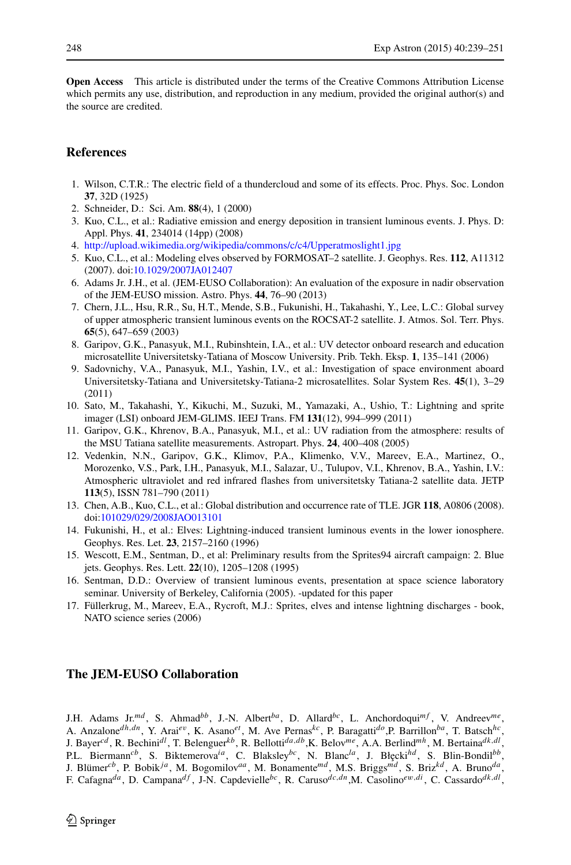**Open Access** This article is distributed under the terms of the Creative Commons Attribution License which permits any use, distribution, and reproduction in any medium, provided the original author(s) and the source are credited.

### **References**

- <span id="page-9-0"></span>1. Wilson, C.T.R.: The electric field of a thundercloud and some of its effects. Proc. Phys. Soc. London **37**, 32D (1925)
- <span id="page-9-1"></span>2. Schneider, D.: Sci. Am. **88**(4), 1 (2000)
- <span id="page-9-2"></span>3. Kuo, C.L., et al.: Radiative emission and energy deposition in transient luminous events. J. Phys. D: Appl. Phys. **41**, 234014 (14pp) (2008)
- <span id="page-9-3"></span>4. <http://upload.wikimedia.org/wikipedia/commons/c/c4/Upperatmoslight1.jpg>
- <span id="page-9-4"></span>5. Kuo, C.L., et al.: Modeling elves observed by FORMOSAT–2 satellite. J. Geophys. Res. **112**, A11312 (2007). doi[:10.1029/2007JA012407](http://dx.doi.org/10.1029/2007JA012407)
- <span id="page-9-5"></span>6. Adams Jr. J.H., et al. (JEM-EUSO Collaboration): An evaluation of the exposure in nadir observation of the JEM-EUSO mission. Astro. Phys. **44**, 76–90 (2013)
- <span id="page-9-6"></span>7. Chern, J.L., Hsu, R.R., Su, H.T., Mende, S.B., Fukunishi, H., Takahashi, Y., Lee, L.C.: Global survey of upper atmospheric transient luminous events on the ROCSAT-2 satellite. J. Atmos. Sol. Terr. Phys. **65**(5), 647–659 (2003)
- <span id="page-9-7"></span>8. Garipov, G.K., Panasyuk, M.I., Rubinshtein, I.A., et al.: UV detector onboard research and education microsatellite Universitetsky-Tatiana of Moscow University. Prib. Tekh. Eksp. **1**, 135–141 (2006)
- <span id="page-9-8"></span>9. Sadovnichy, V.A., Panasyuk, M.I., Yashin, I.V., et al.: Investigation of space environment aboard Universitetsky-Tatiana and Universitetsky-Tatiana-2 microsatellites. Solar System Res. **45**(1), 3–29 (2011)
- <span id="page-9-9"></span>10. Sato, M., Takahashi, Y., Kikuchi, M., Suzuki, M., Yamazaki, A., Ushio, T.: Lightning and sprite imager (LSI) onboard JEM-GLIMS. IEEJ Trans. FM **131**(12), 994–999 (2011)
- <span id="page-9-10"></span>11. Garipov, G.K., Khrenov, B.A., Panasyuk, M.I., et al.: UV radiation from the atmosphere: results of the MSU Tatiana satellite measurements. Astropart. Phys. **24**, 400–408 (2005)
- <span id="page-9-11"></span>12. Vedenkin, N.N., Garipov, G.K., Klimov, P.A., Klimenko, V.V., Mareev, E.A., Martinez, O., Morozenko, V.S., Park, I.H., Panasyuk, M.I., Salazar, U., Tulupov, V.I., Khrenov, B.A., Yashin, I.V.: Atmospheric ultraviolet and red infrared flashes from universitetsky Tatiana-2 satellite data. JETP **113**(5), ISSN 781–790 (2011)
- <span id="page-9-12"></span>13. Chen, A.B., Kuo, C.L., et al.: Global distribution and occurrence rate of TLE. JGR **118**, A0806 (2008). doi[:101029/029/2008JAO013101](http://dx.doi.org/101029/029/2008JAO013101)
- <span id="page-9-13"></span>14. Fukunishi, H., et al.: Elves: Lightning-induced transient luminous events in the lower ionosphere. Geophys. Res. Let. **23**, 2157–2160 (1996)
- <span id="page-9-16"></span>15. Wescott, E.M., Sentman, D., et al: Preliminary results from the Sprites94 aircraft campaign: 2. Blue jets. Geophys. Res. Lett. **22**(10), 1205–1208 (1995)
- <span id="page-9-15"></span>16. Sentman, D.D.: Overview of transient luminous events, presentation at space science laboratory seminar. University of Berkeley, California (2005). -updated for this paper
- <span id="page-9-14"></span>17. Fullerkrug, M., Mareev, E.A., Rycroft, M.J.: Sprites, elves and intense lightning discharges - book, ¨ NATO science series (2006)

#### **The JEM-EUSO Collaboration**

J.H. Adams Jr.*md* , S. Ahmad*bb*, J.-N. Albert*ba* , D. Allard*bc*, L. Anchordoqui*mf* , V. Andreev*me*, A. Anzalone*dh,dn*, Y. Arai*ev*, K. Asano*et* , M. Ave Pernas*kc*, P. Baragatti*do*,P. Barrillon*ba* , T. Batsch*hc*, J. Bayer*cd* , R. Bechini*dl*, T. Belenguer*kb*, R. Bellotti*da,db*,K. Belov*me*, A.A. Berlind*mh*, M. Bertaina*dk,dl*, P.L. Biermann<sup>cb</sup>, S. Biktemerova<sup>ia</sup>, C. Blaksley<sup>bc</sup>, N. Blanc<sup>la</sup>, J. Błęcki<sup>hd</sup>, S. Blin-Bondil<sup>bb</sup>, J. Blümer<sup>cb</sup>, P. Bobik<sup>ja</sup>, M. Bogomilov<sup>aa</sup>, M. Bonamente<sup>md</sup>, M.S. Briggs<sup>md</sup>, S. Briz<sup>kd</sup>, A. Bruno<sup>da</sup>, F. Cafagna*da* , D. Campana*df* , J-N. Capdevielle*bc*, R. Caruso*dc,dn*,M. Casolino*ew,di*, C. Cassardo*dk,dl*,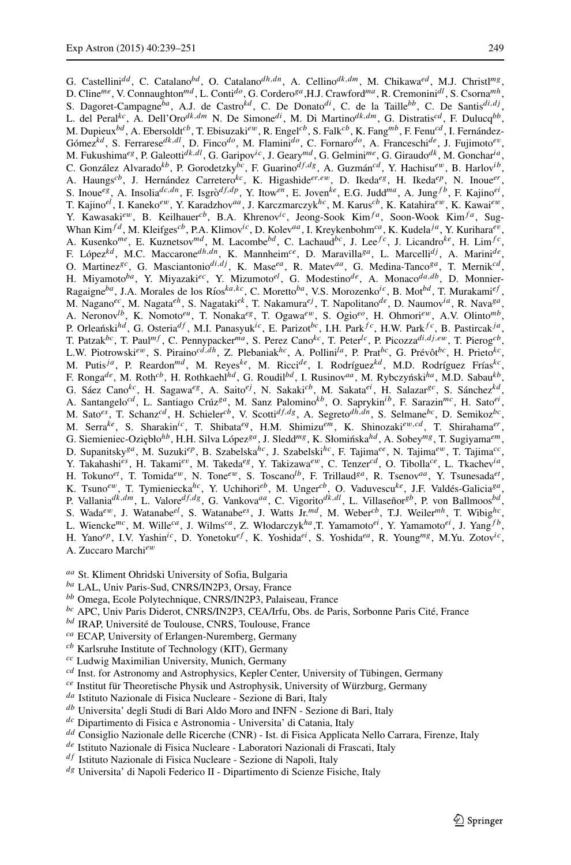G. Castellini*dd* , C. Catalano*bd* , O. Catalano*dh,dn*, A. Cellino*dk,dm*, M. Chikawa*ed* , M.J. Christl*mg*, D. Cline*me*, V. Connaughton*md* , L. Conti*do*, G. Cordero*ga* ,H.J. Crawford*ma* , R. Cremonini*dl*, S. Csorna*mh*, S. Dagoret-Campagne*ba*, A.J. de Castro*kd* , C. De Donato*di*, C. de la Taille*bb*, C. De Santis*di,dj* , L. del Peral*kc*, A. Dell'Oro*dk,dm* N. De Simone*di*, M. Di Martino*dk,dm*, G. Distratis*cd* , F. Dulucq*bb*, M. Dupieux*bd* , A. Ebersoldt*cb*, T. Ebisuzaki*ew*, R. Engel*cb*, S. Falk*cb*, K. Fang*mb*, F. Fenu*cd* , I. Fernandez- ´ Gómez<sup>kd</sup>, S. Ferrarese<sup>dk,dl</sup>, D. Finco<sup>do</sup>, M. Flamini<sup>do</sup>, C. Fornaro<sup>do</sup>, A. Franceschi<sup>de</sup>, J. Fujimoto<sup>ev</sup>, M. Fukushima*eg*, P. Galeotti*dk,dl*, G. Garipov*ic*, J. Geary*md* , G. Gelmini*me*, G. Giraudo*dk* , M. Gonchar*ia* , C. González Alvarado<sup>kb</sup>, P. Gorodetzky<sup>bc</sup>, F. Guarino<sup>df,dg</sup>, A. Guzmán<sup>cd</sup>, Y. Hachisu<sup>ew</sup>, B. Harlov<sup>ib</sup>, A. Haungs<sup>cb</sup>, J. Hernández Carretero<sup>kc</sup>, K. Higashide<sup>er,ew</sup>, D. Ikeda<sup>eg</sup>, H. Ikeda<sup>ep</sup>, N. Inoue<sup>er</sup>, S. Inoue<sup>eg</sup>, A. Insolia<sup>dc,dn</sup>, F. Isgrò<sup>df,dp</sup>, Y. Itow<sup>en</sup>, E. Joven<sup>ke</sup>, E.G. Judd<sup>ma</sup>, A. Jung<sup>fb</sup>, F. Kajino<sup>ei</sup>, T. Kajino*el*, I. Kaneko*ew*, Y. Karadzhov*aa* , J. Karczmarczyk*hc*, M. Karus*cb*, K. Katahira*ew*, K. Kawai*ew*, Y. Kawasaki*ew*, B. Keilhauer*cb*, B.A. Khrenov*ic*, Jeong-Sook Kim*f a* , Soon-Wook Kim*f a* , Sug-Whan Kim*f d* , M. Kleifges*cb*, P.A. Klimov*ic*, D. Kolev*aa* , I. Kreykenbohm*ca* , K. Kudela*j a* , Y. Kurihara*ev*, A. Kusenko<sup>me</sup>, E. Kuznetsov<sup>md</sup>, M. Lacombe<sup>bd</sup>, C. Lachaud<sup>bc</sup>, J. Lee<sup>fc</sup>, J. Licandro<sup>ke</sup>, H. Lim<sup>fc</sup>, F. López<sup>kd</sup>, M.C. Maccarone<sup>dh,dn</sup>, K. Mannheim<sup>ce</sup>, D. Maravilla<sup>ga</sup>, L. Marcelli<sup>dj</sup>, A. Marini<sup>de</sup>, O. Martinez*gc*, G. Masciantonio*di,dj* , K. Mase*ea*, R. Matev*aa* , G. Medina-Tanco*ga* , T. Mernik*cd* , H. Miyamoto*ba* , Y. Miyazaki*ec*, Y. Mizumoto*el*, G. Modestino*de*, A. Monaco*da,db*, D. Monnier-Ragaigne*ba* , J.A. Morales de los R´ıos*ka,kc*, C. Moretto*ba* , V.S. Morozenko*ic*, B. Mot*bd* , T. Murakami*ef* , M. Nagano*ec*, M. Nagata*eh*, S. Nagataki*ek* , T. Nakamura*ej* , T. Napolitano*de*, D. Naumov*ia* , R. Nava*ga* , A. Neronov*lb*, K. Nomoto*eu*, T. Nonaka*eg*, T. Ogawa*ew*, S. Ogio*eo*, H. Ohmori*ew*, A.V. Olinto*mb*, P. Orleanski<sup>hd</sup>, G. Osteria<sup>df</sup>, M.I. Panasyuk<sup>ic</sup>, E. Parizot<sup>hc</sup>, I.H. Park<sup>fc</sup>, H.W. Park<sup>fc</sup>, B. Pastircak<sup>ja</sup>, T. Patzak*bc*, T. Paul*mf* , C. Pennypacker*ma* , S. Perez Cano*kc*, T. Peter*lc*, P. Picozza*di,dj,ew*, T. Pierog*cb*, L.W. Piotrowski*ew*, S. Piraino*cd,dh*, Z. Plebaniak*hc*, A. Pollini*la* , P. Prat*bc*, G. Prev´ otˆ *bc*, H. Prieto*kc*, M. Putis<sup>ja</sup>, P. Reardon<sup>md</sup>, M. Reyes<sup>ke</sup>, M. Ricci<sup>de</sup>, I. Rodríguez<sup>kd</sup>, M.D. Rodríguez Frías<sup>kc</sup>, F. Ronga<sup>de</sup>, M. Roth<sup>cb</sup>, H. Rothkaehl<sup>hd</sup>, G. Roudil<sup>bd</sup>, I. Rusinov<sup>aa</sup>, M. Rybczyński<sup>ha</sup>, M.D. Sabau<sup>kb</sup>, G. Sáez Canokc, H. Sagawa<sup>eg</sup>, A. Saito<sup>ej</sup>, N. Sakaki<sup>cb</sup>, M. Sakata<sup>ei</sup>, H. Salazar<sup>gc</sup>, S. Sánchezk<sup>d</sup>, A. Santangelo<sup>cd</sup>, L. Santiago Crúz<sup>ga</sup>, M. Sanz Palomino<sup>kb</sup>, O. Saprykin<sup>ib</sup>, F. Sarazin<sup>mc</sup>, H. Sato<sup>ei</sup>, M. Sato*es*, T. Schanz*cd* , H. Schieler*cb*, V. Scotti*df,dg*, A. Segreto*dh,dn*, S. Selmane*bc*, D. Semikoz*bc*, M. Serra*ke*, S. Sharakin*ic*, T. Shibata*eq* , H.M. Shimizu*em*, K. Shinozaki*ew,cd* , T. Shirahama*er*, G. Siemieniec-Oziębło<sup>hb</sup>, H.H. Silva López<sup>ga</sup>, J. Sledd<sup>mg</sup>, K. Słomińska<sup>hd</sup>, A. Sobey<sup>mg</sup>, T. Sugiyama<sup>em</sup>, D. Supanitsky*ga* , M. Suzuki*ep*, B. Szabelska*hc*, J. Szabelski*hc*, F. Tajima*ee*, N. Tajima*ew*, T. Tajima*cc*, Y. Takahashi*es*, H. Takami*ev*, M. Takeda*eg*, Y. Takizawa*ew*, C. Tenzer*cd* , O. Tibolla*ce*, L. Tkachev*ia* , H. Tokuno*et* , T. Tomida*ew*, N. Tone*ew*, S. Toscano*lb*, F. Trillaud*ga* , R. Tsenov*aa* , Y. Tsunesada*et* , K. Tsuno<sup>ew</sup>, T. Tymieniecka<sup>hc</sup>, Y. Uchihori<sup>eb</sup>, M. Unger<sup>cb</sup>, O. Vaduvescu<sup>ke</sup>, J.F. Valdés-Galicia<sup>ga</sup>, P. Vallania<sup>dk,dm</sup>, L. Valore<sup>df,dg</sup>, G. Vankova<sup>aa</sup>, C. Vigorito<sup>dk,dl</sup>, L. Villaseñor<sup>gb</sup>, P. von Ballmoos<sup>bd</sup>, S. Wada*ew*, J. Watanabe*el*, S. Watanabe*es*, J. Watts Jr.*md* , M. Weber*cb*, T.J. Weiler*mh*, T. Wibig*hc*, L. Wiencke*mc*, M. Wille*ca* , J. Wilms*ca* , Z. Włodarczyk*ha* ,T. Yamamoto*ei*, Y. Yamamoto*ei*, J. Yang*f b*, H. Yano*ep*, I.V. Yashin*ic*, D. Yonetoku*ef* , K. Yoshida*ei*, S. Yoshida*ea* , R. Young*mg*, M.Yu. Zotov*ic*, A. Zuccaro Marchi*ew*

- *aa* St. Kliment Ohridski University of Sofia, Bulgaria
- *ba* LAL, Univ Paris-Sud, CNRS/IN2P3, Orsay, France
- *bb* Omega, Ecole Polytechnique, CNRS/IN2P3, Palaiseau, France
- *bc* APC, Univ Paris Diderot, CNRS/IN2P3, CEA/Irfu, Obs. de Paris, Sorbonne Paris Cité, France
- *bd* IRAP, Université de Toulouse, CNRS, Toulouse, France
- *ca* ECAP, University of Erlangen-Nuremberg, Germany
- *cb* Karlsruhe Institute of Technology (KIT), Germany
- *cc* Ludwig Maximilian University, Munich, Germany
- <sup>cd</sup> Inst. for Astronomy and Astrophysics, Kepler Center, University of Tübingen, Germany
- <sup>ce</sup> Institut für Theoretische Physik und Astrophysik, University of Würzburg, Germany
- *da* Istituto Nazionale di Fisica Nucleare Sezione di Bari, Italy
- *db* Universita' degli Studi di Bari Aldo Moro and INFN Sezione di Bari, Italy
- *dc* Dipartimento di Fisica e Astronomia Universita' di Catania, Italy
- *dd* Consiglio Nazionale delle Ricerche (CNR) Ist. di Fisica Applicata Nello Carrara, Firenze, Italy
- *de* Istituto Nazionale di Fisica Nucleare Laboratori Nazionali di Frascati, Italy
- *df* Istituto Nazionale di Fisica Nucleare Sezione di Napoli, Italy
- *dg* Universita' di Napoli Federico II Dipartimento di Scienze Fisiche, Italy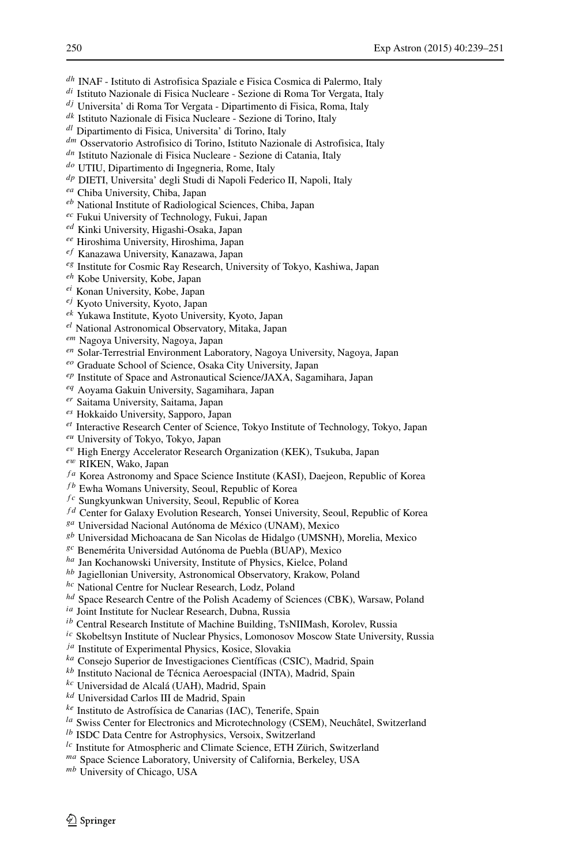- *dh* INAF Istituto di Astrofisica Spaziale e Fisica Cosmica di Palermo, Italy
- *di* Istituto Nazionale di Fisica Nucleare Sezione di Roma Tor Vergata, Italy
- *dj* Universita' di Roma Tor Vergata Dipartimento di Fisica, Roma, Italy
- *dk* Istituto Nazionale di Fisica Nucleare Sezione di Torino, Italy
- *dl* Dipartimento di Fisica, Universita' di Torino, Italy
- *dm* Osservatorio Astrofisico di Torino, Istituto Nazionale di Astrofisica, Italy
- *dn* Istituto Nazionale di Fisica Nucleare Sezione di Catania, Italy
- *do* UTIU, Dipartimento di Ingegneria, Rome, Italy
- *dp* DIETI, Universita' degli Studi di Napoli Federico II, Napoli, Italy
- *ea* Chiba University, Chiba, Japan
- *eb* National Institute of Radiological Sciences, Chiba, Japan
- *ec* Fukui University of Technology, Fukui, Japan
- *ed* Kinki University, Higashi-Osaka, Japan
- *ee* Hiroshima University, Hiroshima, Japan
- *ef* Kanazawa University, Kanazawa, Japan
- *eg* Institute for Cosmic Ray Research, University of Tokyo, Kashiwa, Japan
- *eh* Kobe University, Kobe, Japan
- *ei* Konan University, Kobe, Japan
- *ej* Kyoto University, Kyoto, Japan
- *ek* Yukawa Institute, Kyoto University, Kyoto, Japan
- *el* National Astronomical Observatory, Mitaka, Japan
- *em* Nagoya University, Nagoya, Japan
- *en* Solar-Terrestrial Environment Laboratory, Nagoya University, Nagoya, Japan
- *eo* Graduate School of Science, Osaka City University, Japan
- *ep* Institute of Space and Astronautical Science/JAXA, Sagamihara, Japan
- *eq* Aoyama Gakuin University, Sagamihara, Japan
- *er* Saitama University, Saitama, Japan
- *es* Hokkaido University, Sapporo, Japan
- *et* Interactive Research Center of Science, Tokyo Institute of Technology, Tokyo, Japan
- *eu* University of Tokyo, Tokyo, Japan
- *ev* High Energy Accelerator Research Organization (KEK), Tsukuba, Japan
- *ew* RIKEN, Wako, Japan
- *f a* Korea Astronomy and Space Science Institute (KASI), Daejeon, Republic of Korea
- *f b* Ewha Womans University, Seoul, Republic of Korea
- *f c* Sungkyunkwan University, Seoul, Republic of Korea
- *f d* Center for Galaxy Evolution Research, Yonsei University, Seoul, Republic of Korea
- <sup>ga</sup> Universidad Nacional Autónoma de México (UNAM), Mexico
- *gb* Universidad Michoacana de San Nicolas de Hidalgo (UMSNH), Morelia, Mexico
- <sup>gc</sup> Benemérita Universidad Autónoma de Puebla (BUAP), Mexico
- *ha* Jan Kochanowski University, Institute of Physics, Kielce, Poland
- *hb* Jagiellonian University, Astronomical Observatory, Krakow, Poland
- *hc* National Centre for Nuclear Research, Lodz, Poland
- *hd* Space Research Centre of the Polish Academy of Sciences (CBK), Warsaw, Poland
- *ia* Joint Institute for Nuclear Research, Dubna, Russia
- *ib* Central Research Institute of Machine Building, TsNIIMash, Korolev, Russia
- *ic* Skobeltsyn Institute of Nuclear Physics, Lomonosov Moscow State University, Russia
- <sup>*ja*</sup> Institute of Experimental Physics, Kosice, Slovakia
- <sup>ka</sup> Consejo Superior de Investigaciones Científicas (CSIC), Madrid, Spain
- *kb* Instituto Nacional de Técnica Aeroespacial (INTA), Madrid, Spain
- *kc* Universidad de Alcala (UAH), Madrid, Spain ´
- *kd* Universidad Carlos III de Madrid, Spain
- *ke* Instituto de Astrofísica de Canarias (IAC), Tenerife, Spain
- <sup>la</sup> Swiss Center for Electronics and Microtechnology (CSEM), Neuchâtel, Switzerland
- *lb* ISDC Data Centre for Astrophysics, Versoix, Switzerland
- *lc* Institute for Atmospheric and Climate Science, ETH Zürich, Switzerland
- *ma* Space Science Laboratory, University of California, Berkeley, USA
- *mb* University of Chicago, USA